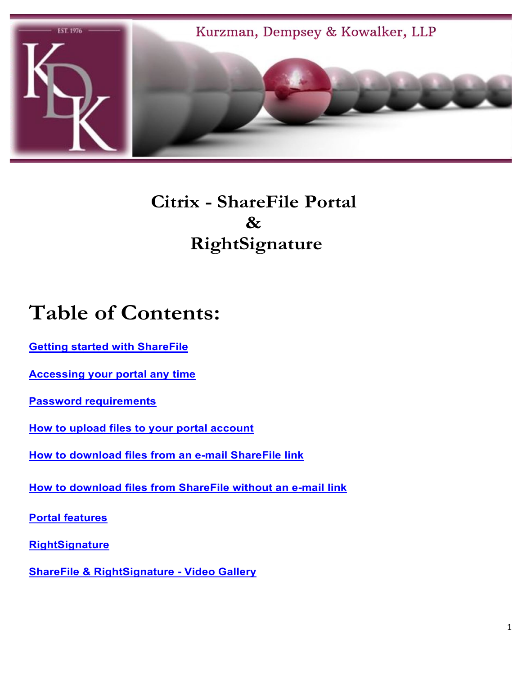<span id="page-0-0"></span>

## **Citrix - ShareFile Portal & RightSignature**

# **Table of Contents:**

**[Getting started with ShareFile](#page-1-0)**

**[Accessing your portal any time](#page-6-0)**

**[Password requirements](#page-3-0)**

**[How to upload files to your portal account](#page-9-0)**

**[How to download files from an e-mail ShareFile link](#page-10-0)**

**[How to download files from ShareFile without an e-mail link](#page-11-0)**

**[Portal features](#page-7-0)**

**[RightSignature](#page-12-0)**

**[ShareFile & RightSignature -](#page-13-0) Video Gallery**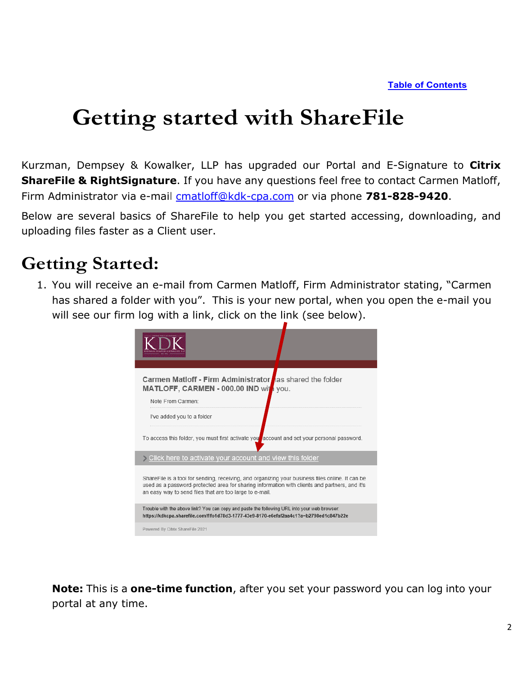# <span id="page-1-0"></span>**Getting started with ShareFile**

Kurzman, Dempsey & Kowalker, LLP has upgraded our Portal and E-Signature to **Citrix ShareFile & RightSignature**. If you have any questions feel free to contact Carmen Matloff, Firm Administrator via e-mail [cmatloff@kdk-cpa.com](mailto:cmatloff@kdk-cpa.com) or via phone **781-828-9420**.

Below are several basics of ShareFile to help you get started accessing, downloading, and uploading files faster as a Client user.

### **Getting Started:**

1. You will receive an e-mail from Carmen Matloff, Firm Administrator stating, "Carmen has shared a folder with you". This is your new portal, when you open the e-mail you will see our firm log with a link, click on the link (see below).



**Note:** This is a **one-time function**, after you set your password you can log into your portal at any time.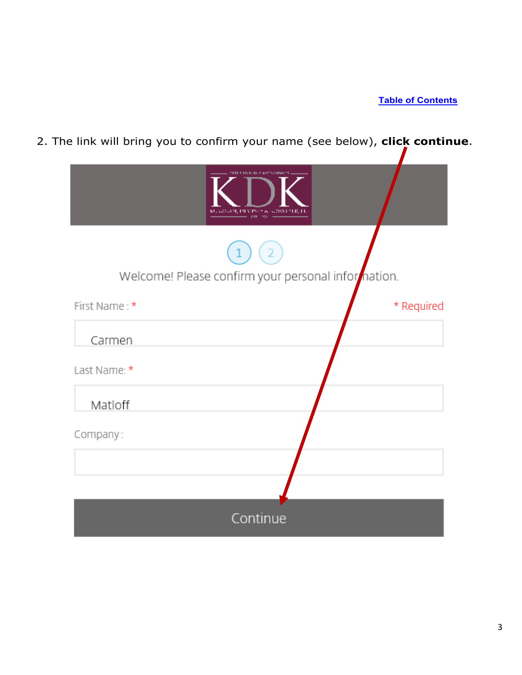2. The link will bring you to confirm your name (see below), **click continue**.

|               | KU KANG NJI NJIMI YA KUOWE CIJI, LIJ<br>AP 3       |
|---------------|----------------------------------------------------|
|               |                                                    |
|               | Welcome! Please confirm your personal information. |
| First Name: * | * Required                                         |
| Carmen        |                                                    |
| Last Name: *  |                                                    |
| Matloff       |                                                    |
| Company:      |                                                    |
|               |                                                    |
|               |                                                    |
|               | Continue                                           |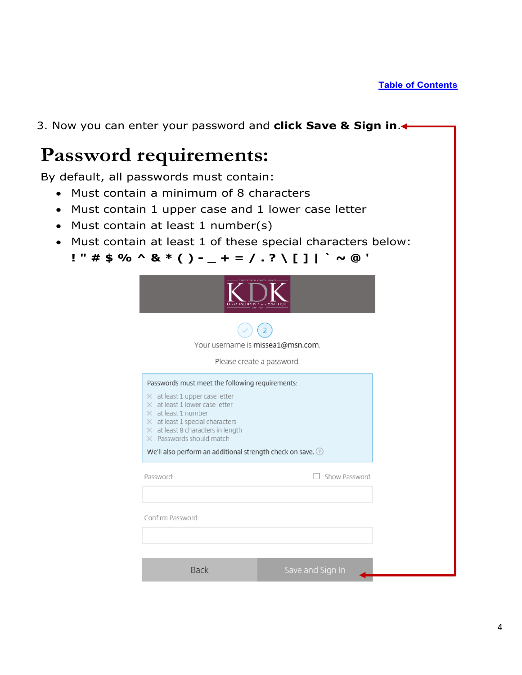<span id="page-3-0"></span>3. Now you can enter your password and **click Save & Sign in**. **Password requirements:** By default, all passwords must contain: • Must contain a minimum of 8 characters • Must contain 1 upper case and 1 lower case letter • Must contain at least 1 number(s) • Must contain at least 1 of these special characters below: **! " # \$ % ^ & \* ( ) - \_ + = / . ? \ [ ] | ` ~ @ '**Your username is missea1@msn.com. Please create a password. Passwords must meet the following requirements:  $\times$  at least 1 upper case letter  $\times$  at least 1 lower case letter  $\times$  at least 1 number  $\times$  at least 1 special characters  $\times$  at least 8 characters in length  $\times$  Passwords should match We'll also perform an additional strength check on save. ? Password: □ Show Password Confirm Password: Back Save and Sign In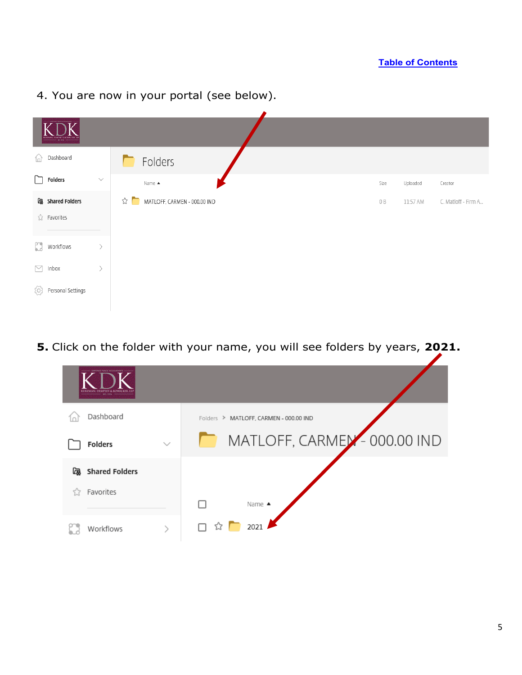

#### 4. You are now in your portal (see below).

**5.** Click on the folder with your name, you will see folders by years, **2021.**

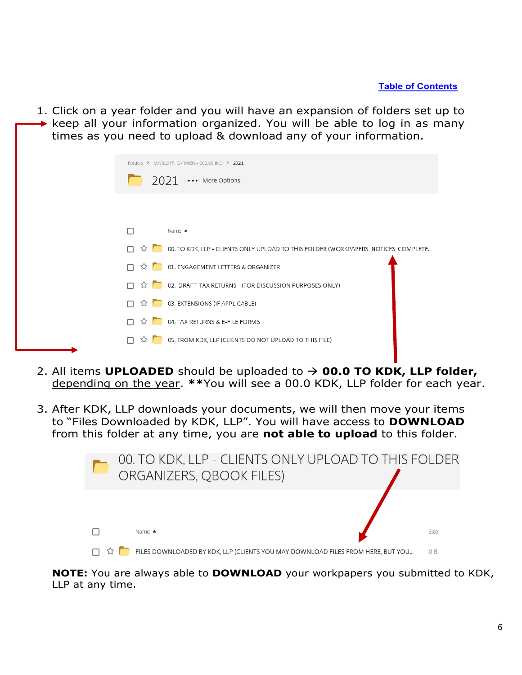1. Click on a year folder and you will have an expansion of folders set up to keep all your information organized. You will be able to log in as many times as you need to upload & download any of your information.

|    | Folders > MATLOFF, CARMEN - 000.00 IND > 2021                                                          |  |
|----|--------------------------------------------------------------------------------------------------------|--|
|    | $2021 \cdots$ More Options                                                                             |  |
|    |                                                                                                        |  |
|    | Name $\triangle$                                                                                       |  |
|    | $\hat{\mathbb{W}}$ 00. TO KDK, LLP - CLIENTS ONLY UPLOAD TO THIS FOLDER (WORKPAPERS, NOTICES, COMPLETE |  |
| ☆  | 01. ENGAGEMENT LETTERS & ORGANIZER                                                                     |  |
|    | 12 <b>1</b> 02. 'DRAFT' TAX RETURNS - (FOR DISCUSSION PURPOSES ONLY)                                   |  |
| ☆  | 03. EXTENSIONS (IF APPLICABLE)                                                                         |  |
| 53 | 04. TAX RETURNS & E-FILE FORMS                                                                         |  |
|    | $\Box$ $\hat{\Omega}$ <b>b</b> 05. FROM KDK, LLP (CLIENTS DO NOT UPLOAD TO THIS FILE)                  |  |
|    |                                                                                                        |  |

- 2. All items **UPLOADED** should be uploaded to **00.0 TO KDK, LLP folder,**  depending on the year. **\*\***You will see a 00.0 KDK, LLP folder for each year.
- 3. After KDK, LLP downloads your documents, we will then move your items to "Files Downloaded by KDK, LLP". You will have access to **DOWNLOAD** from this folder at any time, you are **not able to upload** to this folder.



**NOTE:** You are always able to **DOWNLOAD** your workpapers you submitted to KDK, LLP at any time.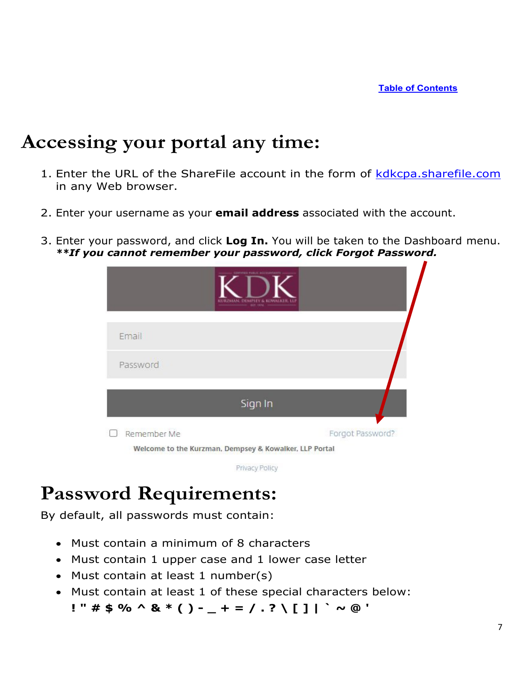## <span id="page-6-0"></span>**Accessing your portal any time:**

- 1. Enter the URL of the ShareFile account in the form of [kdkcpa.sharefile.com](https://kdkcpa.sharefile.com/Authentication/Login) in any Web browser.
- 2. Enter your username as your **email address** associated with the account.
- 3. Enter your password, and click **Log In.** You will be taken to the Dashboard menu. *\*\*If you cannot remember your password, click Forgot Password.*



Privacy Policy

## **Password Requirements:**

By default, all passwords must contain:

- Must contain a minimum of 8 characters
- Must contain 1 upper case and 1 lower case letter
- Must contain at least 1 number(s)
- Must contain at least 1 of these special characters below: **! " # \$ % ^ & \* ( ) - \_ + = / . ? \ [ ] | ` ~ @ '**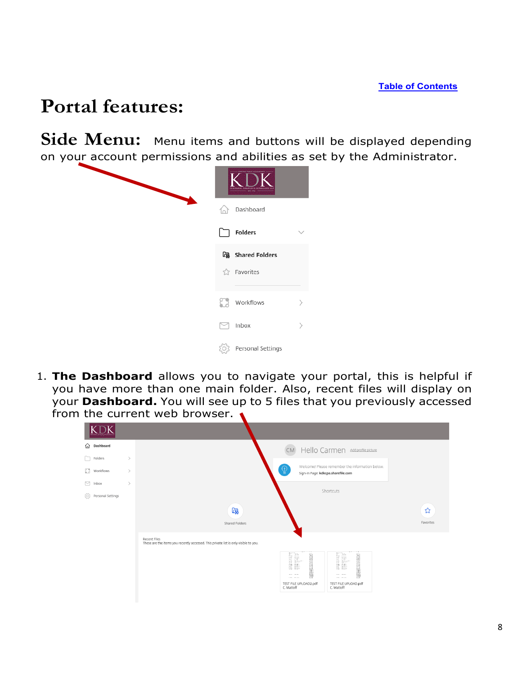## <span id="page-7-0"></span>**Portal features:**

Side Menu: Menu items and buttons will be displayed depending on your account permissions and abilities as set by the Administrator.



1. **The Dashboard** allows you to navigate your portal, this is helpful if you have more than one main folder. Also, recent files will display on your **Dashboard.** You will see up to 5 files that you previously accessed from the current web browser.

| Dashboard<br>⋒                             | CM Hello Carmen Add profile picture                                                                                                                                              |
|--------------------------------------------|----------------------------------------------------------------------------------------------------------------------------------------------------------------------------------|
| Folders<br>$\,>\,$                         |                                                                                                                                                                                  |
| n<br>Workflows<br>$\rightarrow$            | Welcome! Please remember the information below.<br>(၂)<br>Sign-In Page: kdkcpa.sharefile.com                                                                                     |
| $\triangleright$<br>$\rightarrow$<br>Inbox |                                                                                                                                                                                  |
| Personal Settings<br>503                   | Shortcuts                                                                                                                                                                        |
|                                            | [雨<br>☆<br>Favorites<br>Shared Folders                                                                                                                                           |
|                                            | Recent Files<br>These are the items you recently accessed. This private list is only visible to you.                                                                             |
|                                            | E<br>E<br><b>British Commercial</b><br><b>British Commercial</b><br><b>COLLECTION</b><br>CONTRACTOR<br>TEST FILE UPLOAD2.pdf<br>TEST FILE UPLOAD.pdf<br>C. Matloff<br>C. Matloff |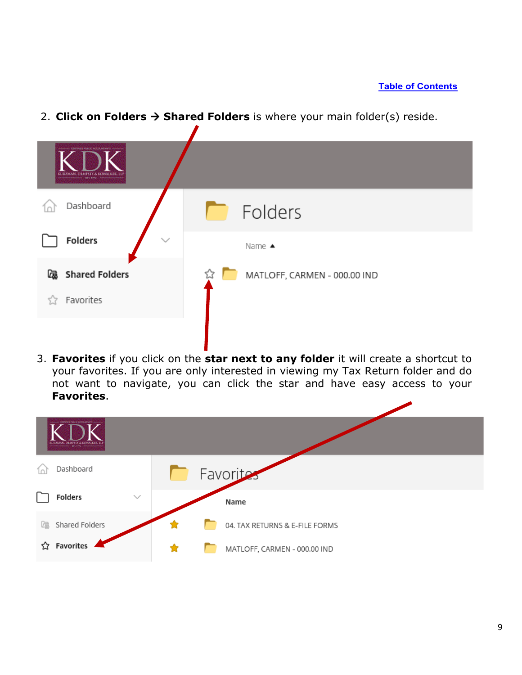#### **[Table of Contents](#page-0-0)**

2. **Click on Folders**  $\rightarrow$  **Shared Folders** is where your main folder(s) reside.



3. **Favorites** if you click on the **star next to any folder** it will create a shortcut to your favorites. If you are only interested in viewing my Tax Return folder and do not want to navigate, you can click the star and have easy access to your **Favorites**.

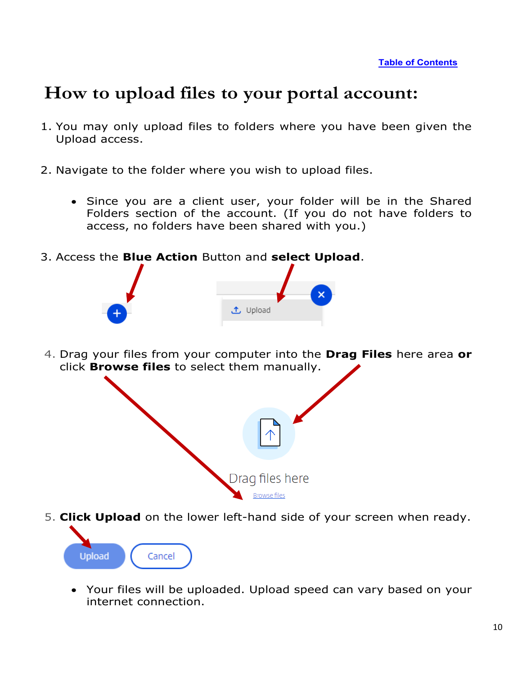### <span id="page-9-0"></span>**How to upload files to your portal account:**

- 1. You may only upload files to folders where you have been given the Upload access.
- 2. Navigate to the folder where you wish to upload files.
	- Since you are a client user, your folder will be in the Shared Folders section of the account. (If you do not have folders to access, no folders have been shared with you.)
- 3. Access the **Blue Action** Button and **select Upload**.



4. Drag your files from your computer into the **Drag Files** here area **or** click **Browse files** to select them manually.



- 5. **Click Upload** on the lower left-hand side of your screen when ready. **Upload** Cancel
	- Your files will be uploaded. Upload speed can vary based on your internet connection.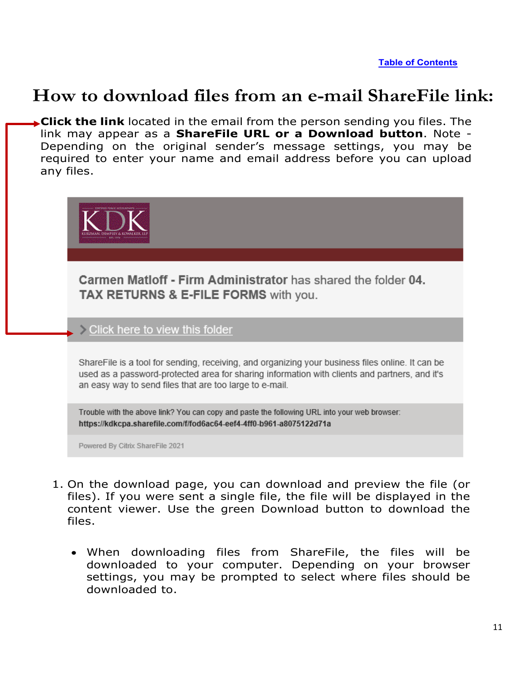**[Table of Contents](#page-0-0)**

### <span id="page-10-0"></span>**How to download files from an e-mail ShareFile link:**

**Click the link** located in the email from the person sending you files. The link may appear as a **ShareFile URL or a Download button**. Note - Depending on the original sender's message settings, you may be required to enter your name and email address before you can upload any files.



Powered By Citrix ShareFile 2021

- 1. On the download page, you can download and preview the file (or files). If you were sent a single file, the file will be displayed in the content viewer. Use the green Download button to download the files.
	- When downloading files from ShareFile, the files will be downloaded to your computer. Depending on your browser settings, you may be prompted to select where files should be downloaded to.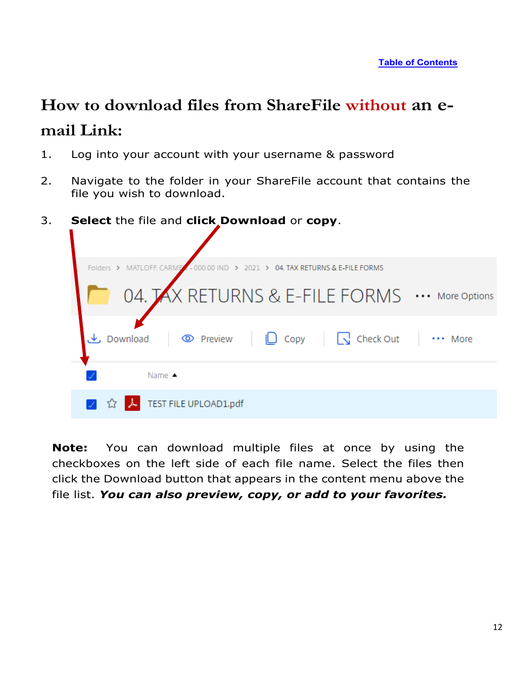## <span id="page-11-0"></span>**How to download files from ShareFile without an email Link:**

- 1. Log into your account with your username & password
- 2. Navigate to the folder in your ShareFile account that contains the file you wish to download.
- 3. **Select** the file and **click Download** or **copy**.



**Note:** You can download multiple files at once by using the checkboxes on the left side of each file name. Select the files then click the Download button that appears in the content menu above the file list. *You can also preview, copy, or add to your favorites.*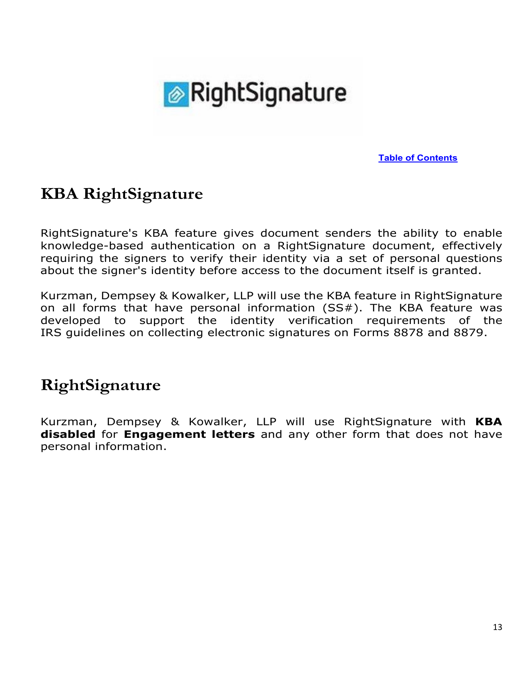

**[Table of Contents](#page-0-0)**

### <span id="page-12-0"></span>**KBA RightSignature**

RightSignature's KBA feature gives document senders the ability to enable knowledge-based authentication on a RightSignature document, effectively requiring the signers to verify their identity via a set of personal questions about the signer's identity before access to the document itself is granted.

Kurzman, Dempsey & Kowalker, LLP will use the KBA feature in RightSignature on all forms that have personal information (SS#). The KBA feature was developed to support the identity verification requirements of the IRS guidelines on collecting electronic signatures on Forms 8878 and 8879.

### **RightSignature**

Kurzman, Dempsey & Kowalker, LLP will use RightSignature with **KBA disabled** for **Engagement letters** and any other form that does not have personal information.